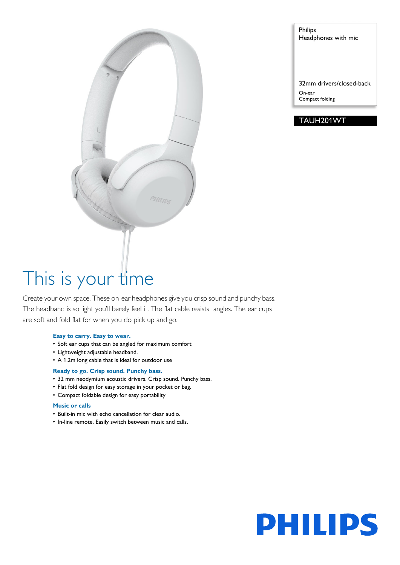

Philips Headphones with mic

32mm drivers/closed-back On-ear

Compact folding

### TAUH201WT

# This is your time

Create your own space. These on-ear headphones give you crisp sound and punchy bass. The headband is so light you'll barely feel it. The flat cable resists tangles. The ear cups are soft and fold flat for when you do pick up and go.

#### **Easy to carry. Easy to wear.**

- Soft ear cups that can be angled for maximum comfort
- Lightweight adjustable headband.
- A 1.2m long cable that is ideal for outdoor use

#### **Ready to go. Crisp sound. Punchy bass.**

- 32 mm neodymium acoustic drivers. Crisp sound. Punchy bass.
- Flat fold design for easy storage in your pocket or bag.
- Compact foldable design for easy portability

#### **Music or calls**

- Built-in mic with echo cancellation for clear audio.
- In-line remote. Easily switch between music and calls.